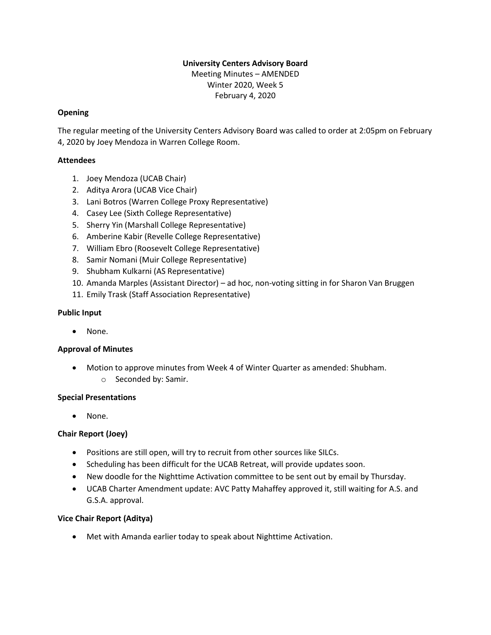### **University Centers Advisory Board** Meeting Minutes – AMENDED Winter 2020, Week 5

February 4, 2020

# **Opening**

The regular meeting of the University Centers Advisory Board was called to order at 2:05pm on February 4, 2020 by Joey Mendoza in Warren College Room.

# **Attendees**

- 1. Joey Mendoza (UCAB Chair)
- 2. Aditya Arora (UCAB Vice Chair)
- 3. Lani Botros (Warren College Proxy Representative)
- 4. Casey Lee (Sixth College Representative)
- 5. Sherry Yin (Marshall College Representative)
- 6. Amberine Kabir (Revelle College Representative)
- 7. William Ebro (Roosevelt College Representative)
- 8. Samir Nomani (Muir College Representative)
- 9. Shubham Kulkarni (AS Representative)
- 10. Amanda Marples (Assistant Director) ad hoc, non-voting sitting in for Sharon Van Bruggen
- 11. Emily Trask (Staff Association Representative)

# **Public Input**

• None.

# **Approval of Minutes**

- Motion to approve minutes from Week 4 of Winter Quarter as amended: Shubham.
	- o Seconded by: Samir.

### **Special Presentations**

• None.

# **Chair Report (Joey)**

- Positions are still open, will try to recruit from other sources like SILCs.
- Scheduling has been difficult for the UCAB Retreat, will provide updates soon.
- New doodle for the Nighttime Activation committee to be sent out by email by Thursday.
- UCAB Charter Amendment update: AVC Patty Mahaffey approved it, still waiting for A.S. and G.S.A. approval.

# **Vice Chair Report (Aditya)**

• Met with Amanda earlier today to speak about Nighttime Activation.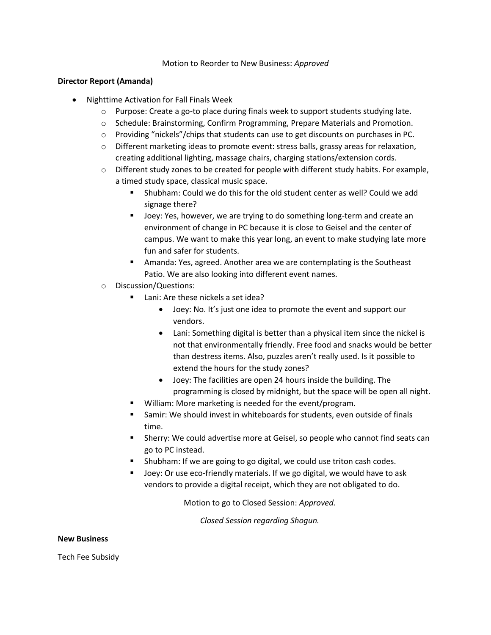#### Motion to Reorder to New Business: *Approved*

#### **Director Report (Amanda)**

- Nighttime Activation for Fall Finals Week
	- $\circ$  Purpose: Create a go-to place during finals week to support students studying late.
	- o Schedule: Brainstorming, Confirm Programming, Prepare Materials and Promotion.
	- $\circ$  Providing "nickels"/chips that students can use to get discounts on purchases in PC.
	- $\circ$  Different marketing ideas to promote event: stress balls, grassy areas for relaxation, creating additional lighting, massage chairs, charging stations/extension cords.
	- $\circ$  Different study zones to be created for people with different study habits. For example, a timed study space, classical music space.
		- Shubham: Could we do this for the old student center as well? Could we add signage there?
		- Joey: Yes, however, we are trying to do something long-term and create an environment of change in PC because it is close to Geisel and the center of campus. We want to make this year long, an event to make studying late more fun and safer for students.
		- Amanda: Yes, agreed. Another area we are contemplating is the Southeast Patio. We are also looking into different event names.
	- o Discussion/Questions:
		- Lani: Are these nickels a set idea?
			- Joey: No. It's just one idea to promote the event and support our vendors.
			- Lani: Something digital is better than a physical item since the nickel is not that environmentally friendly. Free food and snacks would be better than destress items. Also, puzzles aren't really used. Is it possible to extend the hours for the study zones?
			- Joey: The facilities are open 24 hours inside the building. The programming is closed by midnight, but the space will be open all night.
		- William: More marketing is needed for the event/program.
		- Samir: We should invest in whiteboards for students, even outside of finals time.
		- Sherry: We could advertise more at Geisel, so people who cannot find seats can go to PC instead.
		- Shubham: If we are going to go digital, we could use triton cash codes.
		- Joey: Or use eco-friendly materials. If we go digital, we would have to ask vendors to provide a digital receipt, which they are not obligated to do.

Motion to go to Closed Session: *Approved.*

*Closed Session regarding Shogun.*

#### **New Business**

Tech Fee Subsidy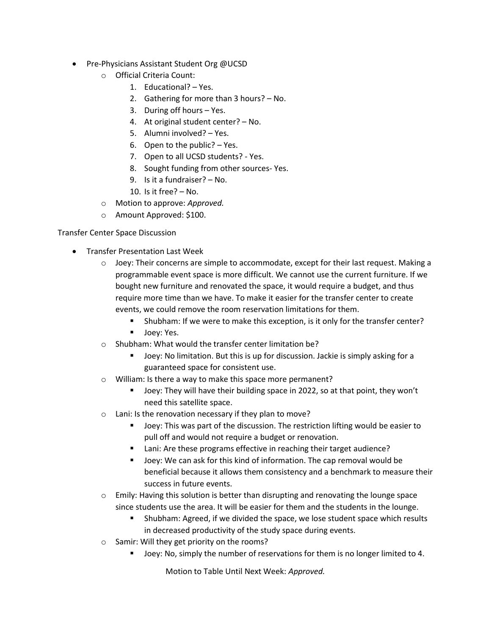- Pre-Physicians Assistant Student Org @UCSD
	- o Official Criteria Count:
		- 1. Educational? Yes.
		- 2. Gathering for more than 3 hours? No.
		- 3. During off hours Yes.
		- 4. At original student center? No.
		- 5. Alumni involved? Yes.
		- 6. Open to the public? Yes.
		- 7. Open to all UCSD students? Yes.
		- 8. Sought funding from other sources- Yes.
		- 9. Is it a fundraiser? No.
		- 10. Is it free? No.
	- o Motion to approve: *Approved.*
	- o Amount Approved: \$100.

# Transfer Center Space Discussion

- Transfer Presentation Last Week
	- $\circ$  Joey: Their concerns are simple to accommodate, except for their last request. Making a programmable event space is more difficult. We cannot use the current furniture. If we bought new furniture and renovated the space, it would require a budget, and thus require more time than we have. To make it easier for the transfer center to create events, we could remove the room reservation limitations for them.
		- Shubham: If we were to make this exception, is it only for the transfer center?
		- Joev: Yes.
	- o Shubham: What would the transfer center limitation be?
		- Joey: No limitation. But this is up for discussion. Jackie is simply asking for a guaranteed space for consistent use.
	- o William: Is there a way to make this space more permanent?
		- Joey: They will have their building space in 2022, so at that point, they won't need this satellite space.
	- o Lani: Is the renovation necessary if they plan to move?
		- Joey: This was part of the discussion. The restriction lifting would be easier to pull off and would not require a budget or renovation.
		- Lani: Are these programs effective in reaching their target audience?
		- Joey: We can ask for this kind of information. The cap removal would be beneficial because it allows them consistency and a benchmark to measure their success in future events.
	- $\circ$  Emily: Having this solution is better than disrupting and renovating the lounge space since students use the area. It will be easier for them and the students in the lounge.
		- Shubham: Agreed, if we divided the space, we lose student space which results in decreased productivity of the study space during events.
	- o Samir: Will they get priority on the rooms?
		- Joey: No, simply the number of reservations for them is no longer limited to 4.

Motion to Table Until Next Week: *Approved.*